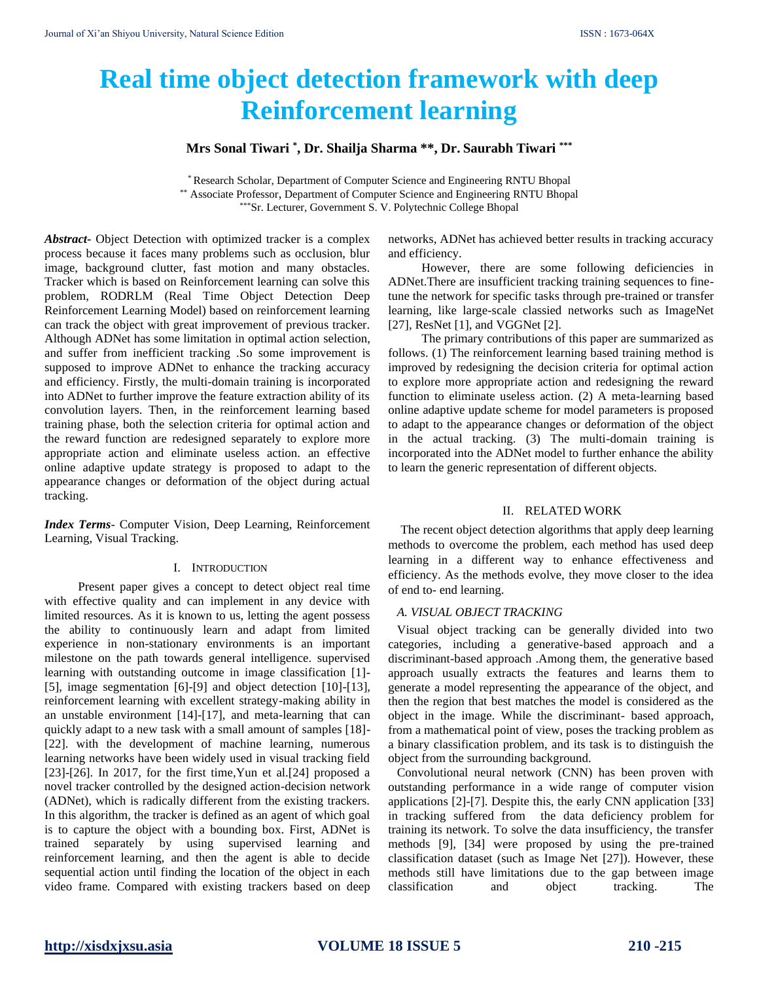# **Real time object detection framework with deep Reinforcement learning**

**Mrs Sonal Tiwari \* , Dr. Shailja Sharma \*\*, Dr. Saurabh Tiwari \*\*\***

\* Research Scholar, Department of Computer Science and Engineering RNTU Bhopal \*\* Associate Professor, Department of Computer Science and Engineering RNTU Bhopal \*\*\*Sr. Lecturer, Government S. V. Polytechnic College Bhopal

*Abstract***-** Object Detection with optimized tracker is a complex process because it faces many problems such as occlusion, blur image, background clutter, fast motion and many obstacles. Tracker which is based on Reinforcement learning can solve this problem, RODRLM (Real Time Object Detection Deep Reinforcement Learning Model) based on reinforcement learning can track the object with great improvement of previous tracker. Although ADNet has some limitation in optimal action selection, and suffer from inefficient tracking .So some improvement is supposed to improve ADNet to enhance the tracking accuracy and efficiency. Firstly, the multi-domain training is incorporated into ADNet to further improve the feature extraction ability of its convolution layers. Then, in the reinforcement learning based training phase, both the selection criteria for optimal action and the reward function are redesigned separately to explore more appropriate action and eliminate useless action. an effective online adaptive update strategy is proposed to adapt to the appearance changes or deformation of the object during actual tracking.

*Index Terms*- Computer Vision, Deep Learning, Reinforcement Learning, Visual Tracking.

### I. INTRODUCTION

Present paper gives a concept to detect object real time with effective quality and can implement in any device with limited resources. As it is known to us, letting the agent possess the ability to continuously learn and adapt from limited experience in non-stationary environments is an important milestone on the path towards general intelligence. supervised learning with outstanding outcome in image classification [1]- [5], image segmentation [6]-[9] and object detection [10]-[13], reinforcement learning with excellent strategy-making ability in an unstable environment [14]-[17], and meta-learning that can quickly adapt to a new task with a small amount of samples [18]- [22]. with the development of machine learning, numerous learning networks have been widely used in visual tracking field [23]-[26]. In 2017, for the first time,Yun et al.[24] proposed a novel tracker controlled by the designed action-decision network (ADNet), which is radically different from the existing trackers. In this algorithm, the tracker is defined as an agent of which goal is to capture the object with a bounding box. First, ADNet is trained separately by using supervised learning and reinforcement learning, and then the agent is able to decide sequential action until finding the location of the object in each video frame. Compared with existing trackers based on deep networks, ADNet has achieved better results in tracking accuracy and efficiency.

However, there are some following deficiencies in ADNet.There are insufficient tracking training sequences to finetune the network for specific tasks through pre-trained or transfer learning, like large-scale classied networks such as ImageNet [27], ResNet [1], and VGGNet [2].

The primary contributions of this paper are summarized as follows. (1) The reinforcement learning based training method is improved by redesigning the decision criteria for optimal action to explore more appropriate action and redesigning the reward function to eliminate useless action. (2) A meta-learning based online adaptive update scheme for model parameters is proposed to adapt to the appearance changes or deformation of the object in the actual tracking. (3) The multi-domain training is incorporated into the ADNet model to further enhance the ability to learn the generic representation of different objects.

# II. RELATED WORK

The recent object detection algorithms that apply deep learning methods to overcome the problem, each method has used deep learning in a different way to enhance effectiveness and efficiency. As the methods evolve, they move closer to the idea of end to- end learning.

#### *A. VISUAL OBJECT TRACKING*

Visual object tracking can be generally divided into two categories, including a generative-based approach and a discriminant-based approach .Among them, the generative based approach usually extracts the features and learns them to generate a model representing the appearance of the object, and then the region that best matches the model is considered as the object in the image. While the discriminant- based approach, from a mathematical point of view, poses the tracking problem as a binary classification problem, and its task is to distinguish the object from the surrounding background.

Convolutional neural network (CNN) has been proven with outstanding performance in a wide range of computer vision applications [2]-[7]. Despite this, the early CNN application [33] in tracking suffered from the data deficiency problem for training its network. To solve the data insufficiency, the transfer methods [9], [34] were proposed by using the pre-trained classification dataset (such as Image Net [27]). However, these methods still have limitations due to the gap between image classification and object tracking. The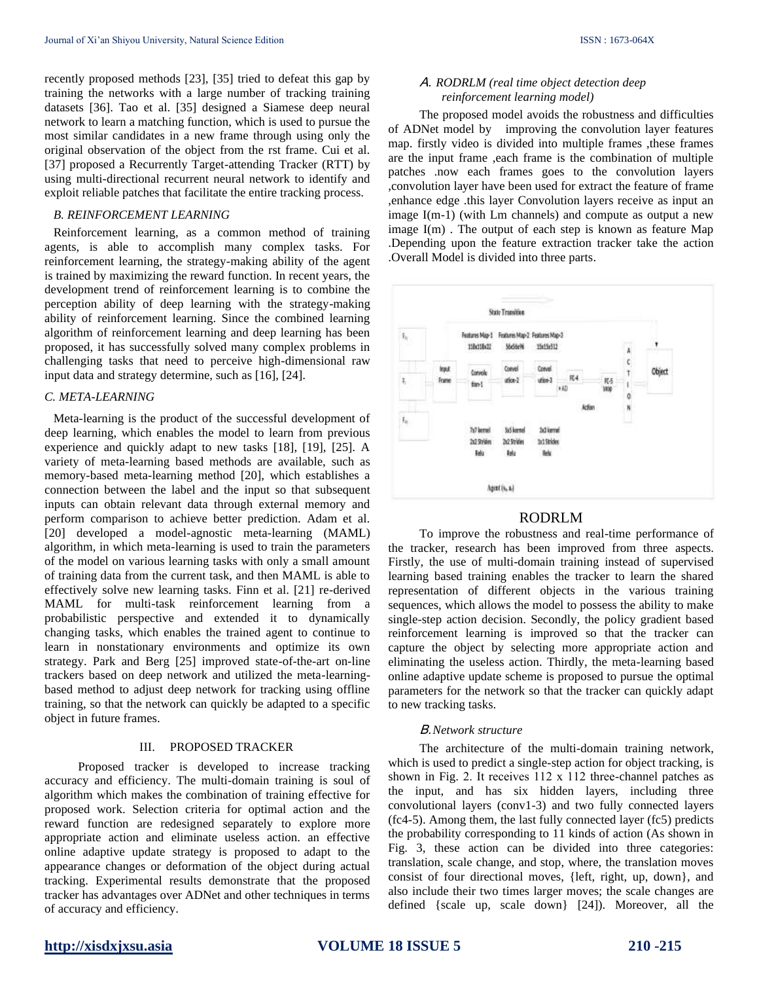recently proposed methods [23], [35] tried to defeat this gap by training the networks with a large number of tracking training datasets [36]. Tao et al. [35] designed a Siamese deep neural network to learn a matching function, which is used to pursue the most similar candidates in a new frame through using only the original observation of the object from the rst frame. Cui et al. [37] proposed a Recurrently Target-attending Tracker (RTT) by using multi-directional recurrent neural network to identify and exploit reliable patches that facilitate the entire tracking process.

# *B. REINFORCEMENT LEARNING*

Reinforcement learning, as a common method of training agents, is able to accomplish many complex tasks. For reinforcement learning, the strategy-making ability of the agent is trained by maximizing the reward function. In recent years, the development trend of reinforcement learning is to combine the perception ability of deep learning with the strategy-making ability of reinforcement learning. Since the combined learning algorithm of reinforcement learning and deep learning has been proposed, it has successfully solved many complex problems in challenging tasks that need to perceive high-dimensional raw input data and strategy determine, such as [16], [24].

# *C. META-LEARNING*

Meta-learning is the product of the successful development of deep learning, which enables the model to learn from previous experience and quickly adapt to new tasks [18], [19], [25]. A variety of meta-learning based methods are available, such as memory-based meta-learning method [20], which establishes a connection between the label and the input so that subsequent inputs can obtain relevant data through external memory and perform comparison to achieve better prediction. Adam et al. [20] developed a model-agnostic meta-learning (MAML) algorithm, in which meta-learning is used to train the parameters of the model on various learning tasks with only a small amount of training data from the current task, and then MAML is able to effectively solve new learning tasks. Finn et al. [21] re-derived MAML for multi-task reinforcement learning from a probabilistic perspective and extended it to dynamically changing tasks, which enables the trained agent to continue to learn in nonstationary environments and optimize its own strategy. Park and Berg [25] improved state-of-the-art on-line trackers based on deep network and utilized the meta-learningbased method to adjust deep network for tracking using offline training, so that the network can quickly be adapted to a specific object in future frames.

#### III. PROPOSED TRACKER

Proposed tracker is developed to increase tracking accuracy and efficiency. The multi-domain training is soul of algorithm which makes the combination of training effective for proposed work. Selection criteria for optimal action and the reward function are redesigned separately to explore more appropriate action and eliminate useless action. an effective online adaptive update strategy is proposed to adapt to the appearance changes or deformation of the object during actual tracking. Experimental results demonstrate that the proposed tracker has advantages over ADNet and other techniques in terms of accuracy and efficiency.

# A. *RODRLM (real time object detection deep reinforcement learning model)*

The proposed model avoids the robustness and difficulties of ADNet model by improving the convolution layer features map. firstly video is divided into multiple frames , these frames are the input frame ,each frame is the combination of multiple patches .now each frames goes to the convolution layers ,convolution layer have been used for extract the feature of frame ,enhance edge .this layer Convolution layers receive as input an image I(m-1) (with Lm channels) and compute as output a new image I(m) . The output of each step is known as feature Map .Depending upon the feature extraction tracker take the action .Overall Model is divided into three parts.



# RODRLM

To improve the robustness and real-time performance of the tracker, research has been improved from three aspects. Firstly, the use of multi-domain training instead of supervised learning based training enables the tracker to learn the shared representation of different objects in the various training sequences, which allows the model to possess the ability to make single-step action decision. Secondly, the policy gradient based reinforcement learning is improved so that the tracker can capture the object by selecting more appropriate action and eliminating the useless action. Thirdly, the meta-learning based online adaptive update scheme is proposed to pursue the optimal parameters for the network so that the tracker can quickly adapt to new tracking tasks.

#### B.*Network structure*

The architecture of the multi-domain training network, which is used to predict a single-step action for object tracking, is shown in Fig. 2. It receives 112 x 112 three-channel patches as the input, and has six hidden layers, including three convolutional layers (conv1-3) and two fully connected layers (fc4-5). Among them, the last fully connected layer (fc5) predicts the probability corresponding to 11 kinds of action (As shown in Fig. 3, these action can be divided into three categories: translation, scale change, and stop, where, the translation moves consist of four directional moves, {left, right, up, down}, and also include their two times larger moves; the scale changes are defined {scale up, scale down} [24]). Moreover, all the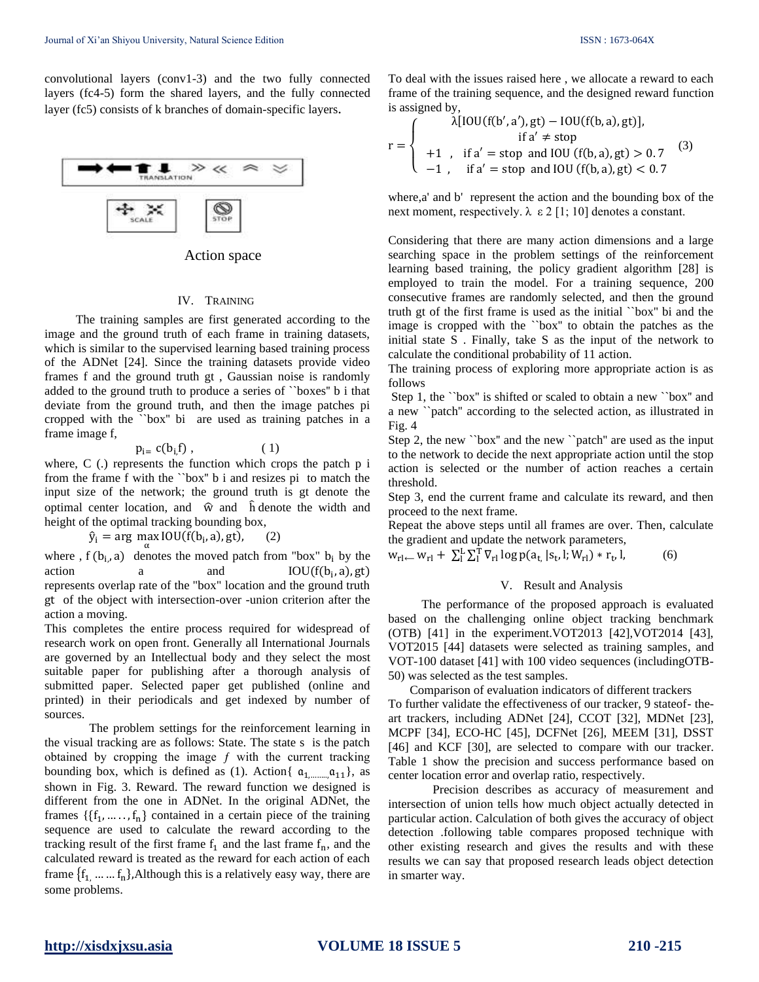convolutional layers (conv1-3) and the two fully connected layers (fc4-5) form the shared layers, and the fully connected layer (fc5) consists of k branches of domain-specific layers.



| Action space |  |
|--------------|--|
|--------------|--|

#### IV. TRAINING

The training samples are first generated according to the image and the ground truth of each frame in training datasets, which is similar to the supervised learning based training process of the ADNet [24]. Since the training datasets provide video frames f and the ground truth gt , Gaussian noise is randomly added to the ground truth to produce a series of ``boxes'' b i that deviate from the ground truth, and then the image patches pi cropped with the ``box'' bi are used as training patches in a frame image f,

$$
p_{i} = c(b_{i,}f) , \qquad (1)
$$

where, C (.) represents the function which crops the patch p i from the frame f with the ``box'' b i and resizes pi to match the input size of the network; the ground truth is gt denote the optimal center location, and  $\hat{w}$  and  $\hat{h}$  denote the width and height of the optimal tracking bounding box,

 $\hat{y}_i = \arg \max_{\alpha} IOU(f(b_i, a), gt),$  (2)

where,  $f(b_i, a)$  denotes the moved patch from "box"  $b_i$  by the action a and  $IOU(f(b_i, a), gt)$ represents overlap rate of the "box" location and the ground truth gt of the object with intersection-over -union criterion after the action a moving.

This completes the entire process required for widespread of research work on open front. Generally all International Journals are governed by an Intellectual body and they select the most suitable paper for publishing after a thorough analysis of submitted paper. Selected paper get published (online and printed) in their periodicals and get indexed by number of sources.

The problem settings for the reinforcement learning in the visual tracking are as follows: State. The state s is the patch obtained by cropping the image  $f$  with the current tracking bounding box, which is defined as (1). Action{  $a_{1, \dots, n, 11}$ }, as shown in Fig. 3. Reward. The reward function we designed is different from the one in ADNet. In the original ADNet, the frames  $\{\{f_1, \ldots, f_n\}$  contained in a certain piece of the training sequence are used to calculate the reward according to the tracking result of the first frame  $f_1$  and the last frame  $f_n$ , and the calculated reward is treated as the reward for each action of each frame  $\{f_1, \ldots, f_n\}$ , Although this is a relatively easy way, there are some problems.

To deal with the issues raised here , we allocate a reward to each frame of the training sequence, and the designed reward function is assigned by,

$$
r = \begin{cases} \lambda[10U(f(b', a'), gt) - 10U(f(b, a), gt)], & \text{if } a' \neq stop \\ +1, & \text{if } a' = stop \text{ and } 10U(f(b, a), gt) > 0.7 \\ -1, & \text{if } a' = stop \text{ and } 10U(f(b, a), gt) < 0.7 \end{cases} \tag{3}
$$

where,a' and b' represent the action and the bounding box of the next moment, respectively.  $\lambda \varepsilon 2$  [1; 10] denotes a constant.

Considering that there are many action dimensions and a large searching space in the problem settings of the reinforcement learning based training, the policy gradient algorithm [28] is employed to train the model. For a training sequence, 200 consecutive frames are randomly selected, and then the ground truth gt of the first frame is used as the initial ``box'' bi and the image is cropped with the ``box'' to obtain the patches as the initial state S . Finally, take S as the input of the network to calculate the conditional probability of 11 action.

The training process of exploring more appropriate action is as follows

Step 1, the ``box'' is shifted or scaled to obtain a new ``box'' and a new ``patch'' according to the selected action, as illustrated in Fig. 4

Step 2, the new ``box'' and the new ``patch'' are used as the input to the network to decide the next appropriate action until the stop action is selected or the number of action reaches a certain threshold.

Step 3, end the current frame and calculate its reward, and then proceed to the next frame.

Repeat the above steps until all frames are over. Then, calculate the gradient and update the network parameters,

 $w_{rl} = w_{rl} + \sum_{l}^{L} \sum_{l}^{T} \nabla_{rl} \log p(a_{t,} | s_{t}, l; W_{rl}) * r_{t}$  $(6)$ 

#### V. Result and Analysis

The performance of the proposed approach is evaluated based on the challenging online object tracking benchmark (OTB) [41] in the experiment.VOT2013 [42],VOT2014 [43], VOT2015 [44] datasets were selected as training samples, and VOT-100 dataset [41] with 100 video sequences (includingOTB-50) was selected as the test samples.

Comparison of evaluation indicators of different trackers To further validate the effectiveness of our tracker, 9 stateof- theart trackers, including ADNet [24], CCOT [32], MDNet [23], MCPF [34], ECO-HC [45], DCFNet [26], MEEM [31], DSST [46] and KCF [30], are selected to compare with our tracker. Table 1 show the precision and success performance based on center location error and overlap ratio, respectively.

Precision describes as accuracy of measurement and intersection of union tells how much object actually detected in particular action. Calculation of both gives the accuracy of object detection .following table compares proposed technique with other existing research and gives the results and with these results we can say that proposed research leads object detection in smarter way.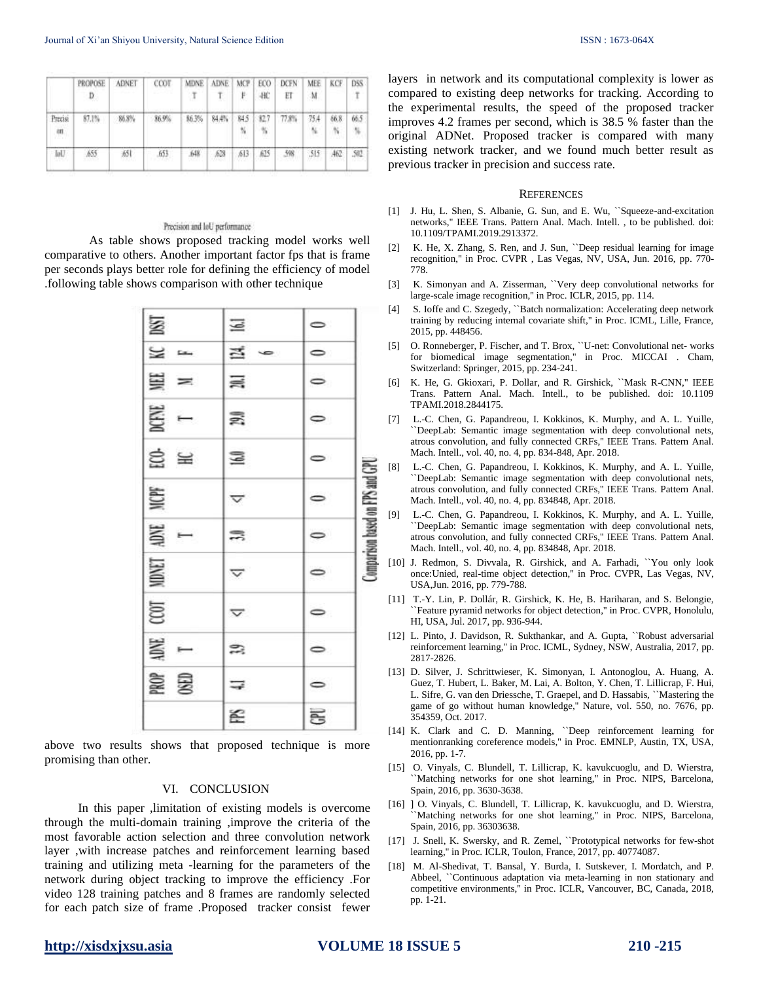|                         | PROPOSE<br>D | ADNET | CCOT  | <b>MDNE</b><br>ा | ADNE  | <b>MCP</b><br>Ë. | ECO<br>-BC     | <b>DCFN</b><br>ET | MEE<br>M | KCF.                | DSS<br>$\mathbb T$       |
|-------------------------|--------------|-------|-------|------------------|-------|------------------|----------------|-------------------|----------|---------------------|--------------------------|
| Precisi<br>en.<br>n mar | 87.1%        | 86.8% | 36.9% | 86.3%            | 84.4% | 845<br>N.        | \$2.7<br>- 951 | 77.8%             | 75A      | 86.8<br><b>TAIL</b> | 66.5<br>$\gamma_{\rm b}$ |
| <b>Int</b>              | 655          | A51   | 653   | 64R              | 628   | 613<br>van       | 625<br>w       | 598               | $-515$   |                     | 502                      |

#### Precision and IoU performance

As table shows proposed tracking model works well comparative to others. Another important factor fps that is frame per seconds plays better role for defining the efficiency of model .following table shows comparison with other technique

| <b>ISST</b>        | $\overline{\mathbb{M}}$ | $\circ$   |                                 |
|--------------------|-------------------------|-----------|---------------------------------|
| $\approx$          | 三 。                     | $\bullet$ |                                 |
| $\equiv$ $=$       | $\Xi$                   | $\circ$   |                                 |
| $\mathbb{E}$ –     | B.                      | $\circ$   |                                 |
| $\Xi \cong$        | $\Xi$                   | $\bullet$ |                                 |
| NICPF              | $\blacktriangledown$    | $\bullet$ | Comparison based on FPS and CPI |
| $\frac{1}{100}$    | $\equiv$                | $\bullet$ |                                 |
| $CCOT$ MDNET       | $\triangleq$            | $\bullet$ |                                 |
|                    | $\overline{\nabla}$     | $\circ$   |                                 |
| MM<br>T            | 23                      | $\circ$   |                                 |
| <b>ROP</b><br>OSED | $\equiv$                | $\bullet$ |                                 |
|                    | S.                      | es)       |                                 |

above two results shows that proposed technique is more promising than other.

#### VI. CONCLUSION

In this paper ,limitation of existing models is overcome through the multi-domain training ,improve the criteria of the most favorable action selection and three convolution network layer ,with increase patches and reinforcement learning based training and utilizing meta -learning for the parameters of the network during object tracking to improve the efficiency .For video 128 training patches and 8 frames are randomly selected for each patch size of frame .Proposed tracker consist fewer layers in network and its computational complexity is lower as compared to existing deep networks for tracking. According to the experimental results, the speed of the proposed tracker improves 4.2 frames per second, which is 38.5 % faster than the original ADNet. Proposed tracker is compared with many existing network tracker, and we found much better result as previous tracker in precision and success rate.

#### **REFERENCES**

- [1] J. Hu, L. Shen, S. Albanie, G. Sun, and E. Wu, ``Squeeze-and-excitation networks,'' IEEE Trans. Pattern Anal. Mach. Intell. , to be published. doi: 10.1109/TPAMI.2019.2913372.
- [2] K. He, X. Zhang, S. Ren, and J. Sun, ``Deep residual learning for image recognition,'' in Proc. CVPR , Las Vegas, NV, USA, Jun. 2016, pp. 770- 778.
- [3] K. Simonyan and A. Zisserman, ``Very deep convolutional networks for large-scale image recognition,'' in Proc. ICLR, 2015, pp. 114.
- [4] S. Ioffe and C. Szegedy, "Batch normalization: Accelerating deep network training by reducing internal covariate shift,'' in Proc. ICML, Lille, France, 2015, pp. 448456.
- [5] O. Ronneberger, P. Fischer, and T. Brox, ``U-net: Convolutional net- works for biomedical image segmentation,'' in Proc. MICCAI . Cham, Switzerland: Springer, 2015, pp. 234-241.
- [6] K. He, G. Gkioxari, P. Dollar, and R. Girshick, ``Mask R-CNN,'' IEEE Trans. Pattern Anal. Mach. Intell., to be published. doi: 10.1109 TPAMI.2018.2844175.
- [7] L.-C. Chen, G. Papandreou, I. Kokkinos, K. Murphy, and A. L. Yuille, ``DeepLab: Semantic image segmentation with deep convolutional nets, atrous convolution, and fully connected CRFs,'' IEEE Trans. Pattern Anal. Mach. Intell., vol. 40, no. 4, pp. 834-848, Apr. 2018.
- [8] L.-C. Chen, G. Papandreou, I. Kokkinos, K. Murphy, and A. L. Yuille, ``DeepLab: Semantic image segmentation with deep convolutional nets, atrous convolution, and fully connected CRFs,'' IEEE Trans. Pattern Anal. Mach. Intell., vol. 40, no. 4, pp. 834848, Apr. 2018.
- [9] L.-C. Chen, G. Papandreou, I. Kokkinos, K. Murphy, and A. L. Yuille, ``DeepLab: Semantic image segmentation with deep convolutional nets, atrous convolution, and fully connected CRFs,'' IEEE Trans. Pattern Anal. Mach. Intell., vol. 40, no. 4, pp. 834848, Apr. 2018.
- [10] J. Redmon, S. Divvala, R. Girshick, and A. Farhadi, "You only look once:Unied, real-time object detection,'' in Proc. CVPR, Las Vegas, NV, USA,Jun. 2016, pp. 779-788.
- [11] T.-Y. Lin, P. Dollár, R. Girshick, K. He, B. Hariharan, and S. Belongie, ``Feature pyramid networks for object detection,'' in Proc. CVPR, Honolulu, HI, USA, Jul. 2017, pp. 936-944.
- [12] L. Pinto, J. Davidson, R. Sukthankar, and A. Gupta, ``Robust adversarial reinforcement learning,'' in Proc. ICML, Sydney, NSW, Australia, 2017, pp. 2817-2826.
- [13] D. Silver, J. Schrittwieser, K. Simonyan, I. Antonoglou, A. Huang, A. Guez, T. Hubert, L. Baker, M. Lai, A. Bolton, Y. Chen, T. Lillicrap, F. Hui, L. Sifre, G. van den Driessche, T. Graepel, and D. Hassabis, ``Mastering the game of go without human knowledge,'' Nature, vol. 550, no. 7676, pp. 354359, Oct. 2017.
- [14] K. Clark and C. D. Manning, "Deep reinforcement learning for mentionranking coreference models,'' in Proc. EMNLP, Austin, TX, USA, 2016, pp. 1-7.
- [15] O. Vinyals, C. Blundell, T. Lillicrap, K. kavukcuoglu, and D. Wierstra, ``Matching networks for one shot learning,'' in Proc. NIPS, Barcelona, Spain, 2016, pp. 3630-3638.
- [16] ] O. Vinyals, C. Blundell, T. Lillicrap, K. kavukcuoglu, and D. Wierstra, ``Matching networks for one shot learning,'' in Proc. NIPS, Barcelona, Spain, 2016, pp. 36303638.
- [17] J. Snell, K. Swersky, and R. Zemel, "Prototypical networks for few-shot learning,'' in Proc. ICLR, Toulon, France, 2017, pp. 40774087.
- [18] M. Al-Shedivat, T. Bansal, Y. Burda, I. Sutskever, I. Mordatch, and P. Abbeel, ``Continuous adaptation via meta-learning in non stationary and competitive environments,'' in Proc. ICLR, Vancouver, BC, Canada, 2018, pp. 1-21.